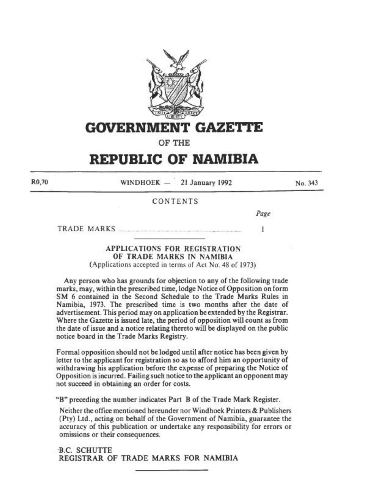

## GOVERNMENT GAZE1TE

OF THE

# REPUBLIC OF NAMIBIA

WINDHOEK  $-$  21 January 1992

No. 343

CONTENTS

Page

 $\mathbf{1}$ 

TRADE MARKS .... ... .

R0,70

## APPLICATIONS FOR REGISTRATION OF TRADE MARKS IN NAMIBIA (Applications accepted in terms of Act No. 48 of 1973)

Any person who bas grounds for objection to any of the following trade marks, may, within the prescribed time, lodge Notice of Opposition on form SM 6 contained in the Second Schedule to the Trade Marks Rules in Namibia, 1973. The prescribed time is two months after tbe date of advertisement. This period may on application be extended by the Registrar. Where the Gazette is issued late, the period of opposition will count as from the date of issue and a notice relating thereto will be displayed on the public- notice board in the Trade Marks Registry.

Formal opposition should not be lodged until after notice has been given by letter to the applicant for registration *so* as to alford him an opportunity of withdrawing his application before the expense of preparing the Notice of Opposition is incurred. Failing such notice to lhe applicant an opponen1 may not succeed in obtaining an order for costs.

"B" preceding the number indicates Part B of the Trade Mark Register.

Neither the offioc mentioned hereunder nor Windhoek Printers & Publishers (Pty) Ltd., acting on behalf of the Go\'tmmcnt of Namibia, guarantee the accuracy of this publication or undertake any responsibility for errors or omissions or their consequences.

·B.C. SCHUTTE REGISTRAR OF TRADE MARKS FOR NAMIBIA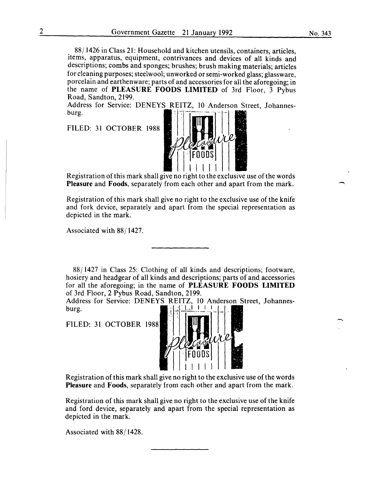88/1426 in Class 21: Household and kitchen utensils, containers, articles, items, apparatus, equipment, contrivances and devices of all kinds and descriptions; combs and sponges; brushes; brush making materials; articles for cleaning purposes; steelwool; unworked or semi-worked glass; glassware, porcelain and earthenware; parts of and accessories for all the aforegoing; in the name of **PLEASURE FOODS LIMITED** of 3rd Floor, 3 Pybus Road, Sandton, 2199.

Address for Service: DENEYS REITZ, 10 Anderson Street, Johannesburg.

FILED: 31 OCTOBER 1988



Registration of this mark shall give no right to the exclusive use of the words **Pleasure** and **Foods,** separately from each other and apart from the mark.

Registration of this mark shall give no right to the exclusive use of the knife and fork device, separately and apart from the special representation as depicted in the mark.

Associated with 88/1427.

88/1427 in Class 25: Clothing of all kinds and descriptions; footware, hosiery and headgear of all kinds and descriptions; parts of and accessories for all the aforegoing; in the name of **PLEASURE FOODS LIMITED**  of 3rd Floor, 2 Pybus Road, Sandton, 2199.

Address for Service: DENEYS REITZ, 10 Anderson Street, Johannesburg.  $\begin{bmatrix} 1 & 1 & 1 & 1 \\ 1 & 1 & 1 & 1 \\ 1 & 1 & 1 & 1 \end{bmatrix}$ 

FILED: 31 OCTOBER 1988



Registration of this mark shall give no right to the exclusive use of the words **Pleasure** and **Foods,** separately from each other and apart from the mark.

Registration of this mark shall give no right to the exclusive use of the knife and ford device, separately and apart from the special representation as depicted in the mark.

Associated with 88/1428.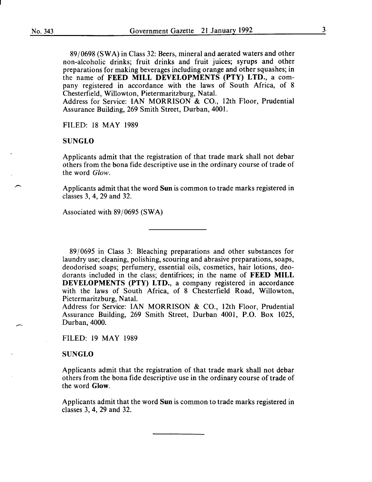89/0698 (SWA) in Class 32: Beers, mineral and aerated waters and other non-alcoholic drinks; fruit drinks and fruit juices; syrups and other preparations for making beverages including orange and other squashes; in the name of FEED MILL DEVELOPMENTS (PTY) LTD., a company registered in accordance with the laws of South Africa, of 8 Chesterfield, Willowton, Pietermaritzburg, Natal.

Address for Service: IAN MORRISON & CO., 12th Floor, Prudential Assurance Building, 269 Smith Street, Durban, 4001.

FILED: 18 MAY 1989

#### SUNGLO

Applicants admit that the registration of that trade mark shall not debar others from the bona fide descriptive use in the ordinary course of trade of the word *Glow.* 

Applicants admit that the word Sun is common to trade marks registered in classes 3, 4, 29 and 32.

Associated with 89/0695 (SWA)

89/0695 in Class 3: Bleaching preparations and other substances for laundry use; cleaning, polishing, scouring and abrasive preparations, soaps, deodorised soaps; perfumery, essential oils, cosmetics, hair lotions, deodorants included in the class; dentifrices; in the name of FEED MILL DEVELOPMENTS (PTY) LTD., a company registered in accordance with the laws of South Africa, of 8 Chesterfield Road, Willowton, Pietermaritzburg, Natal.

Address for Service: IAN MORRISON & CO., 12th Floor, Prudential Assurance Building, 269 Smith Street, Durban 4001, P.O. Box 1025, Durban, 4000.

FILED: 19 MAY 1989

#### SUNGLO

Applicants admit that the registration of that trade mark shall not debar others from the bona fide descriptive use in the ordinary course of trade of the word Glow.

Applicants admit that the word Sun is common to trade marks registered in classes 3, 4, 29 and 32.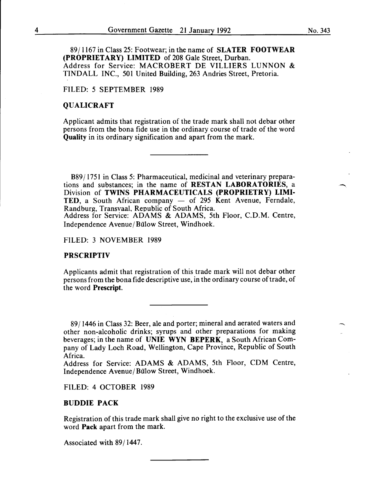8911167 in Class 25: Footwear; in the name of SLATER FOOTWEAR (PROPRIETARY) LIMITED of 208 Gale Street, Durban. Address for Service: MACROBERT DE VILLIERS LUNNON & TINDALL INC., 501 United Building, 263 Andries Street, Pretoria.

## FILED: 5 SEPTEMBER 1989

## QUALICRAFT

Applicant admits that registration of the trade mark shall not debar other persons from the bona fide use in the ordinary course of trade of the word Quality in its ordinary signification and apart from the mark.

B89/1751 in Class 5: Pharmaceutical, medicinal and veterinary preparations and substances; in the name of RESTAN LABORATORIES, a Division of TWINS PHARMACEUTICALS (PROPRIETRY) LIMI-TED, a South African company  $-$  of 295 Kent Avenue, Ferndale, Randburg, Transvaal, Republic of South Africa. Address for Service: ADAMS & ADAMS, 5th Floor, C.D.M. Centre,

Independence Avenue/Bülow Street, Windhoek.

FILED: 3 NOVEMBER 1989

## PRSCRIPTIV

Applicants admit that registration of this trade mark will not debar other persons from the bona fide descriptive use, in the ordinary course of trade, of the word Prescript.

8911446 in Class 32: Beer, ale and porter; mineral and aerated waters and other non-alcoholic drinks; syrups and other preparations for making beverages; in the name of UNIE WYN BEPERK, a South African Company of Lady Loch Road, Wellington, Cape Province, Republic of South Africa.

Address for Service: ADAMS & ADAMS, 5th Floor, CDM Centre, Independence Avenue/Bülow Street, Windhoek.

FILED: 4 OCTOBER 1989

## BUDDIE PACK

Registration of this trade mark shall give no right to the exclusive use of the word Pack apart from the mark.

Associated with 89/1447.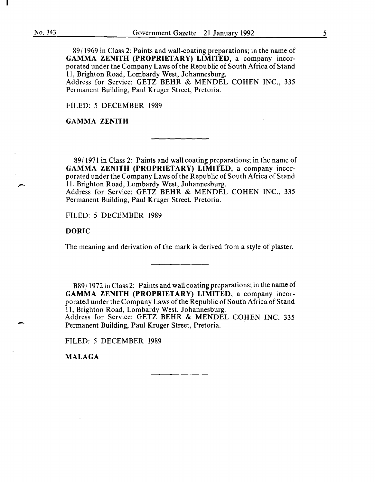89/1969 in Class 2: Paints and wall-coating preparations; in the name of GAMMA ZENITH (PROPRIETARY) LIMITED, a company incorporated under the Company Laws of the Republic of South Africa of Stand 11, Brighton Road, Lombardy West, Johannesburg.

Address for Service: GETZ BEHR & MENDEL COHEN INC., 335 Permanent Building, Paul Kruger Street, Pretoria.

FILED: 5 DECEMBER 1989

GAMMA ZENITH

89/1971 in Class 2: Paints and wall coating preparations; in the name of GAMMA ZENITH (PROPRIETARY) LIMITED, a company incorporated under the Company Laws of the Republic of South Africa of Stand 11, Brighton Road, Lombardy West, Johannesburg. Address for Service: GETZ BEHR & MENDEL COHEN INC., 335 Permanent Building, Paul Kruger Street, Pretoria.

FILED: 5 DECEMBER 1989

DORIC

The meaning and derivation of the mark is derived from a style of plaster.

B89/1972 in Class 2: Paints and wall coating preparations; in the name of GAMMA ZENITH (PROPRIETARY) LIMITED, a company incorporated under the Company Laws of the Republic of South Africa of Stand 11, Brighton Road, Lombardy West, Johannesburg. Address for Service: GETZ BEHR & MENDEL COHEN INC. 335 Permanent Building, Paul Kruger Street, Pretoria.

FILED: 5 DECEMBER 1989

MALAGA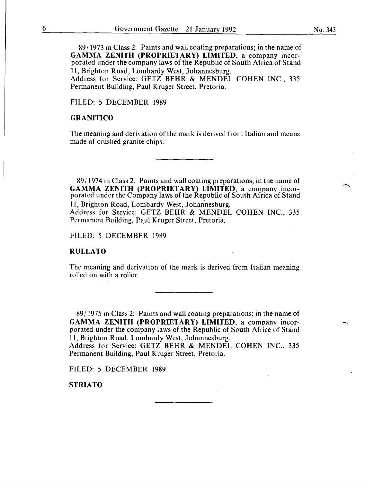89/1973 in Class 2: Paints and wall coating preparations; in the name of GAMMA ZENITH (PROPRIETARY) LIMITED, a company incorporated under the company laws of the Republic of South Africa of Stand 11, Brighton Road, Lombardy West, Johannesburg. Address for Service: GETZ BEHR & MENDEL COHEN INC., 335

Permanent Building, Paul Kruger Street, Pretoria.

FILED: 5 DECEMBER 1989

## GRANITICO

The meaning and derivation of the mark is derived from Italian and means made of crushed granite chips.

89/1974 in Class 2: Paints and wall coating preparations; in the name of GAMMA ZENITH (PROPRIETARY) LIMITED, a company incorporated under the Company laws of the Republic of South Africa of Stand 11, Brighton Road, Lombardy West, Johannesburg.

Address for Service: GETZ BEHR & MENDEL COHEN INC., 335 Permanent Building, Paul Kruger Street, Pretoria.

FILED: 5 DECEMBER 1989

## RULLATO

The meaning and derivation of the mark is derived from Italian meaning rolled on with a roller.

89/1975 in Class 2: Paints and wall coating preparations; in the name of GAMMA ZENITH (PROPRIETARY) LIMITED, a company incorporated under the company laws of the Republic of South Africe of Stand 11, Brighton Road, Lombardy West, Johannesburg.

Address for Service: GETZ BEHR & MENDEL COHEN INC., 335 Permanent Building, Paul Kruger Street, Pretoria.

FILED: 5 DECEMBER 1989

**STRIATO**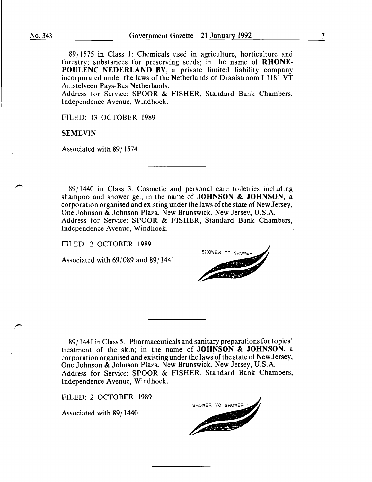$\overline{\phantom{a}}$ 

89/1575 in Class 1: Chemicals used in agriculture, horticulture and forestry; substances for preserving seeds; in the name of **RHONE-POULENC NEDERLAND BV,** a private limited liability company incorporated under the laws of the Netherlands of Draaistroom I 1181 VT Amstelveen Pays-Bas Netherlands.

Address for Service: SPOOR & FISHER, Standard Bank Chambers, Independence Avenue, Windhoek.

FILED: 13 OCTOBER 1989

### **SEMEVIN**

Associated with 89/1574

89/1440 in Class 3: Cosmetic and personal care toiletries including shampoo and shower gel; in the name of **JOHNSON & JOHNSON,** a corporation organised and existing under the laws of the state of New Jersey, One Johnson & Johnson Plaza, New Brunswick, New Jersey, U.S.A. Address for Service: SPOOR & FISHER, Standard Bank Chambers, Independence Avenue, Windhoek.

FILED: 2 OCTOBER 1989

Associated with 69/089 and 89/1441

SHOWER TO SHOWER

89/1441 in Class 5: Pharmaceuticals and sanitary preparations for topical treatment of the skin; in the name of **JOHNSON & JOHNSON,** a corporation organised and existing under the laws of the state of New Jersey, One Johnson & Johnson Plaza, New Brunswick, New Jersey, U.S.A. Address for Service: SPOOR & FISHER, Standard Bank Chambers, Independence Avenue, Windhoek.

FILED: 2 OCTOBER 1989

Associated with 89/1440

SHOWER TO SHOWER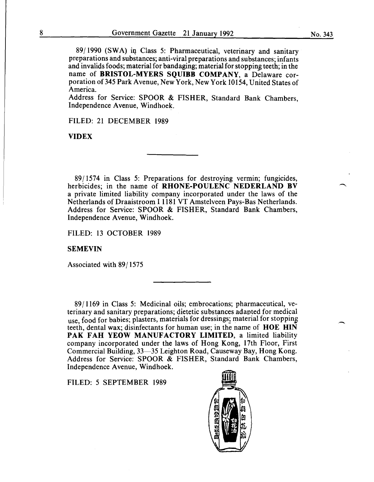89/1990 (SWA) iq Class 5: Pharmaceutical, veterinary and sanitary preparations and substances; anti-viral preparations and substances; infants and invalids foods; material for bandaging; material for stopping teeth; in the name of BRISTOL-MYERS SQUIBB COMPANY, a Delaware corporation of 345 Park Avenue, New York, New York 10154, United States of America.

Address for Service: SPOOR & FISHER, Standard Bank Chambers, Independence Avenue, Windhoek.

FILED: 21 DECEMBER 1989

**VIDEX** 

89/1574 in Class 5: Preparations for destroying vermin; fungicides, herbicides; in the name of RHONE-POULENC NEDERLAND BV a private limited liability company incorporated under the laws of the Netherlands of Draaistroom I 1181 VT Amstelveen Pays-Bas Netherlands. Address for Service: SPOOR & FISHER, Standard Bank Chambers, Independence Avenue, Windhoek.

FILED: 13 OCTOBER 1989

#### SEMEVIN

Associated with 89/1575

89/1169 in Class 5: Medicinal oils; embrocations; pharmaceutical, veterinary and sanitary preparations; dietetic substances adapted for medical use, food for babies; plasters, materials for dressings; material for stopping teeth, dental wax; disinfectants for human use; in the name of HOE HIN PAK FAH YEOW MANUFACTORY LIMITED, a limited liability company incorporated under the laws of Hong Kong, 17th Floor, First Commercial Building, 33-35 Leighton Road, Causeway Bay, Hong Kong. Address for Service: SPOOR & FISHER, Standard Bank Chambers, Independence Avenue, Windhoek.

FILED: 5 SEPTEMBER 1989

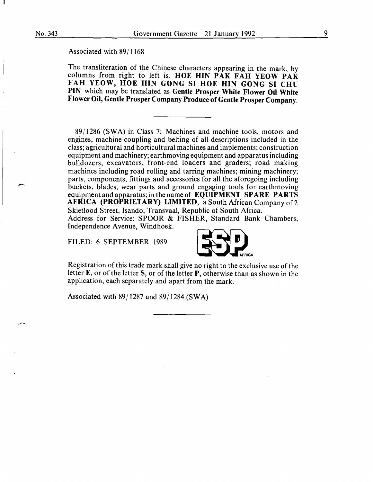Associated with 89/1168

The transliteration of the Chinese characters appearing in the mark, by columns from right to left is: **HOE HIN PAK FAH YEOW PAK FAH YEOW, HOE HIN GONG SI HOE HIN GONG SI CHU PIN** which may be translated as **Gentle Prosper White Flower Oil White Flower Oil, Gentle Prosper Company Produce of Gentle Prosper Company.** 

89/1286 (SWA) in Class 7: Machines and machine tools, motors and engines, machine coupling and belting of all descriptions included in the class; agricultural and horticultural machines and implements; construction equipment and machinery; earthmoving equipment and apparatus including bulldozers, excavators, front-end loaders and graders; road making machines including road rolling and tarring machines; mining machinery; parts, components, fittings and accessories for all the aforegoing including buckets, blades, wear parts and ground engaging tools for earthmoving equipment and apparatus; in the name of **EQUIPMENT SPARE PARTS AFRICA (PROPRIETARY) LIMITED,** a South African Company of 2 Skietlood Street, Isando, Transvaal, Republic of South Africa. Address for Service: SPOOR & FISHER, Standard Bank Chambers,

Independence Avenue, Windhoek.

FILED: 6 SEPTEMBER 1989



Registration of this trade mark shall give no right to the exclusive use of the letter **E**, or of the letter **S**, or of the letter **P**, otherwise than as shown in the application, each separately and apart from the mark.

Associated with 89/1287 and 89/1284 (SWA)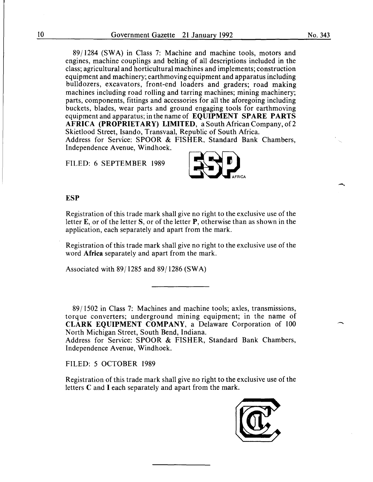89/1284 (SWA) in Class 7: Machine and machine tools, motors and engines, machine couplings and belting of all descriptions included in the class; agricultural and horticultural machines and implements; construction equipment and machinery; earthmoving equipment and apparatus including bulldozers, excavators, front-end loaders and graders; road making machines including road rolling and tarring machines; mining machinery; parts, components, fittings and accessories for all the aforegoing including buckets, blades, wear parts and ground engaging tools for earthmoving equipment and apparatus; in the name of EQUIPMENT SPARE PARTS AFRICA (PROPRIETARY) LIMITED, a South African Company, of2 Skietlood Street, Isando, Transvaal, Republic of South Africa. Address for Service: SPOOR & FISHER, Standard Bank Chambers,

FILED: 6 SEPTEMBER 1989

Independence Avenue, Windhoek.



#### ESP

Registration of this trade mark shall give no right to the exclusive use of the letter E, or of the letter S, or of the letter P, otherwise than as shown in the application, each separately and apart from the mark.

Registration of this trade mark shall give no right to the exclusive use of the word Africa separately and apart from the mark.

Associated with 89/1285 and 89/1286 (SWA)

89/1502 in Class 7: Machines and machine tools; axles, transmissions, torque converters; underground mining equipment; in the name of CLARK EQUIPMENT COMPANY, a Delaware Corporation of 100 North Michigan Street, South Bend, Indiana.

Address for Service: SPOOR & FISHER, Standard Bank Chambers, Independence Avenue, Windhoek.

FILED: 5 OCTOBER 1989

Registration of this trade mark shall give no right to the exclusive use of the letters C and I each separately and apart from the mark.

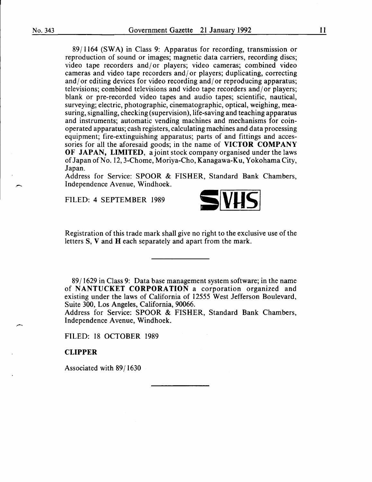89/1164 (SWA) in Class 9: Apparatus for recording, transmission or reproduction of sound or images; magnetic data carriers, recording discs; video tape recorders and/ or players; video cameras; combined video cameras and video tape recorders and/ or players; duplicating, correcting and/ or editing devices for video recording and/ or reproducing apparatus; televisions; combined televisions and video tape recorders and/ or players; blank or pre-recorded video tapes and audio tapes; scientific, nautical, surveying; electric, photographic, cinematographic, optical, weighing, measuring, signalling, checking (supervision), life-saving and teaching apparatus and instruments; automatic vending machines and mechanisms for coinoperated apparatus; cash registers, calculating machines and data processing equipment; fire-extinguishing apparatus; parts of and fittings and accessories for all the aforesaid goods; in the name of **VICTOR COMPANY OF JAPAN, LIMITED,** a joint stock company organised under the laws of Japan of No. 12, 3-Chome, Moriya-Cho, Kanagawa-Ku, Yokohama City, Japan.

Address for Service: SPOOR & FISHER, Standard Bank Chambers, Independence Avenue, Windhoek.

FILED: 4 SEPTEMBER 1989



Registration of this trade mark shall give no right to the exclusive use of the letters S, V and **H** each separately and apart from the mark.

89/1629 in Class 9: Data base management system software; in the name of **NANTUCKET CORPORATION** a corporation organized and existing under the laws of California of 12555 West Jefferson Boulevard, Suite 300, Los Angeles, California, 90066.

Address for Service: SPOOR & FISHER, Standard Bank Chambers, Independence Avenue, Windhoek.

FILED: 18 OCTOBER 1989

**CLIPPER** 

Associated with 89/1630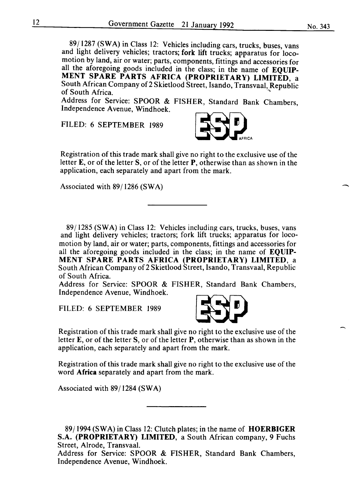$\overline{\phantom{0}}$ 

89/1287 (SWA) in Class 12: Vehicles including cars, trucks, buses, vans and light delivery vehicles; tractors; fork lift trucks; apparatus for locomotion by land, air or water; parts, components, fittings and accessories for all the aforegoing goods included in the class; in the name of **EQUIP-MENT SPARE PARTS AFRICA (PROPRIETARY) LIMITED, a** South African Company of 2 Skietlood Street, Isando, Transvaal, Republic of South Africa. of South Africa.  $\sim$ 

Address for Service: SPOOR & FISHER, Standard Bank Chambers, Independence Avenue, Windhoek.

FILED: 6 SEPTEMBER 1989



Registration of this trade mark shall give no right to the exclusive use of the letter **E,** or of the letterS, or of the letter **P,** otherwise than as shown in the application, each separately and apart from the mark.

Associated with 89/1286 (SWA)

89/1285 (SWA) in Class 12: Vehicles including cars, trucks, buses, vans and light delivery vehicles; tractors; fork lift trucks; apparatus for locomotion by land, air or water; parts, components, fittings and accessories for all the aforegoing goods included in the class; in the name of **EQUIP-MENT SPARE PARTS AFRICA (PROPRIETARY) LIMITED,** a South African Company of 2 Skietlood Street, Isando, Transvaal, Republic of South Africa.

Address for Service: SPOOR & FISHER, Standard Bank Chambers, Independence A venue, Windhoek.

FILED: 6 SEPTEMBER 1989



Registration of this trade mark shall give no right to the exclusive use of the letter E, or of the letter S, or of the letter **P,** otherwise than as shown in the application, each separately and apart from the mark.

Registration of this trade mark shall give no right to the exclusive use of the word **Africa** separately and apart from the mark.

Associated with 89/1284 (SWA)

89/1994 (SWA) in Class 12: Clutch plates; in the name of **HOERBIGER**  S.A. **(PROPRIETARY) LIMITED,** a South African company, 9 Fuchs Street, Alrode, Transvaal.

Address for Service: SPOOR & FISHER, Standard Bank Chambers, Independence Avenue, Windhoek.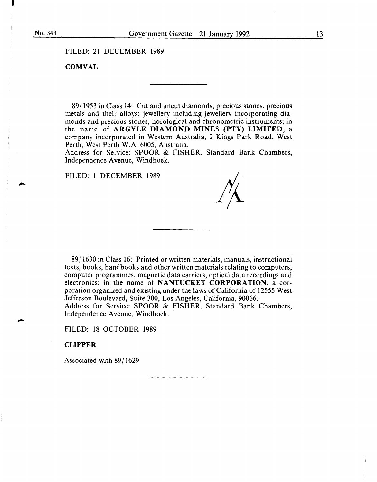FILED: 21 DECEMBER 1989

## **COMVAL**

89/1953 in Class 14: Cut and uncut diamonds, precious stones, precious metals and their alloys; jewellery including jewellery incorporating diamonds and precious stones, horological and chronometric instruments; in the name of **ARGYLE DIAMOND MINES (PTY) LIMITED,** a company incorporated in Western Australia, 2 Kings Park Road, West Perth, West Perth W.A. 6005, Australia.

Address for Service: SPOOR & FISHER, Standard Bank Chambers, Independence Avenue, Windhoek.

#### FILED: 1 DECEMBER 1989

89/1630 in Class 16: Printed or written materials, manuals, instructional texts, books, handbooks and other written materials relating to computers, computer programmes, magnetic data carriers, optical data recordings and electronics; in the name of **NANTUCKET CORPORATION,** a corporation organized and existing under the laws of California of 12555 West Jefferson Boulevard, Suite 300, Los Angeles, California, 90066. Address for Service: SPOOR & FISHER, Standard Bank Chambers, Independence Avenue, Windhoek.

FILED: 18 OCTOBER 1989

#### **CLIPPER**

Associated with 89/1629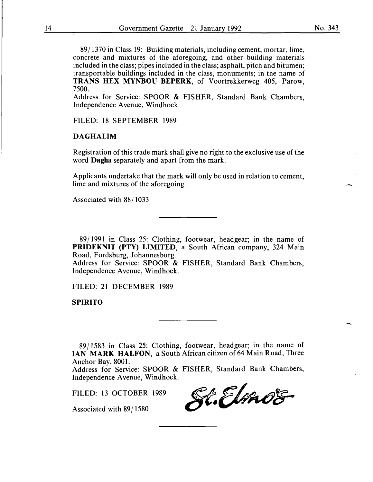89/1370 in Class 19: Building materials, including cement, mortar, lime, concrete and mixtures of the aforegoing, and other building materials included in the class; pipes included in the class; asphalt, pitch and bitumen; transportable buildings included in the class, monuments; in the name of TRANS HEX MYNBOU BEPERK, of Voortrekkerweg 405, Parow, 7500.

Address for Service: SPOOR & FISHER, Standard Bank Chambers, Independence Avenue, Windhoek.

FILED: 18 SEPTEMBER 1989

## DAGHALIM

Registration of this trade mark shall give no right to the exclusive use of the word Dagha separately and apart from the mark.

Applicants undertake that the mark will only be used in relation to cement, lime and mixtures of the aforegoing.

Associated with 88/ 1033

89/1991 in Class 25: Clothing, footwear, headgear; in the name of PRIDEKNIT (PTY) LIMITED, a South African company, 324 Main Road, Fordsburg, Johannesburg.

Address for Service: SPOOR & FISHER, Standard Bank Chambers, Independence Avenue, Windhoek.

FILED: 21 DECEMBER 1989

SPIRITO

89/1583 in Class 25: Clothing, footwear, headgear; in the name of IAN MARK HALFON, a South African citizen of 64 Main Road, Three Anchor Bay, 8001.

Address for Service: SPOOR & FISHER, Standard Bank Chambers, Independence Avenue, Windhoek.

FILED: 13 OCTOBER 1989

Associated with 89/1580

St.Elmos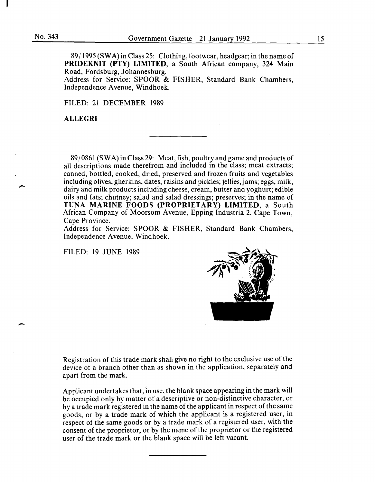-

89 I 1995 (SWA) in Class 25: Clothing, footwear, headgear; in the name of **PRIDEKNIT (PTY) LIMITED,** a South African company, 324 Main Road, Fordsburg, Johannesburg.

Address for Service: SPOOR & FISHER, Standard Bank Chambers, Independence A venue, Windhoek.

FILED: 21 DECEMBER 1989

#### **ALLEGRI**

89/0861 (SWA) in Class 29: Meat, fish, poultry and game and products of all descriptions made therefrom and included in the class; meat extracts; canned, bottled, cooked, dried, preserved and frozen fruits and vegetables including olives, gherkins, dates, raisins and pickles; jellies, jams; eggs, milk, dairy and milk products including cheese, cream, butter and yoghurt; edible oils and fats; chutney; salad and salad dressings; preserves; in the name of TUNA **MARINE FOODS (PROPRIETARY) LIMITED,** a South African Company of Moorsom Avenue, Epping Industria 2, Cape Town, Cape Province.

Address for Service: SPOOR & FISHER, Standard Bank Chambers, Independence Avenue, Windhoek.

FILED: 19 JUNE 1989



Registration of this trade mark shall give no right to the exclusive use of the device of a branch other than as shown in the application, separately and apart from the mark.

Applicant undertakes that, in use, the blank space appearing in the mark will be occupied only by matter of a descriptive or non-distinctive character, or by a trade mark registered in the name of the applicant in respect of the same goods, or by a trade mark of which the applicant is a registered user, in respect of the same goods or by a trade mark of a registered user, with the consent of the proprietor, or by the name of the proprietor or the registered user of the trade mark or the blank space will be left vacant.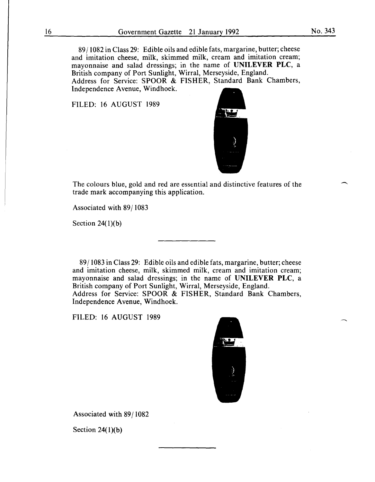89/1082 in Class 29: Edible oils and edible fats, margarine, butter; cheese and imitation cheese, milk, skimmed milk, cream and imitation cream; mayonnaise and salad dressings; in the name of **UNILEVER PLC,** a British company of Port Sunlight, Wirral, Merseyside, England. Address for Service: SPOOR & FISHER, Standard Bank Chambers, Independence Avenue, Windhoek.

FILED: 16 AUGUST 1989



The colours blue, gold and red are essential and distinctive features of the trade mark accompanying this application.

Associated with 89/1083

Section  $24(1)(b)$ 

89/1083 in Class 29: Edible oils and edible fats, margarine, butter; cheese and imitation cheese, milk, skimmed milk, cream and imitation cream; mayonnaise and salad dressings; in the name of **UNILEVER PLC,** a British company of Port Sunlight, Wirral, Merseyside, England. Address for Service: SPOOR & FISHER, Standard Bank Chambers, Independence Avenue, Windhoek.

FILED: 16 AUGUST 1989



Associated with 89/1082

Section 24(1)(b)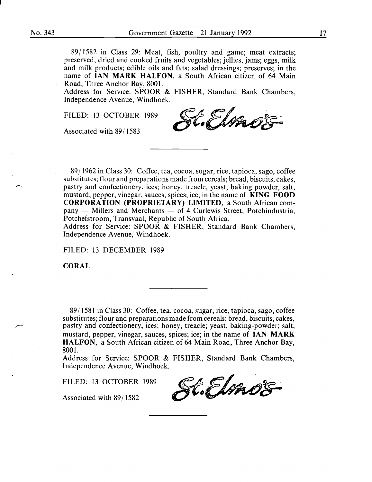8911582 in Class 29: Meat, fish, poultry and game; meat extracts; preserved, dried and cooked fruits and vegetables; jellies, jams; eggs, milk and milk products; edible oils and fats; salad dressings; preserves; in the name of IAN MARK HALFON, a South African citizen of 64 Main Road, Three Anchor Bay, 8001.

Address for Service: SPOOR & FISHER, Standard Bank Chambers, Independence Avenue, Windhoek.

Associated with 89/1583

FILED: 13 OCTOBER 1989<br>Associated with 89/1583

89/1962 in Class 30: Coffee, tea, cocoa, sugar, rice, tapioca, sago, coffee substitutes; flour and preparations made from cereals; bread, biscuits, cakes, pastry and confectionery, ices; honey, treacle, yeast, baking powder, salt, mustard, pepper, vinegar, sauces, spices; ice; in the name of KING FOOD CORPORATION (PROPRIETARY) LIMITED, a South African com $p$ any  $-$  Millers and Merchants  $-$  of 4 Curlewis Street, Potchindustria, Potchefstroom, Transvaal, Republic of South Africa.

Address for Service: SPOOR & FISHER, Standard Bank Chambers, Independence A venue, Windhoek.

FILED: 13 DECEMBER 1989

CORAL

89 I 1581 in Class 30: Coffee, tea, cocoa, sugar, rice, tapioca, sago, coffee substitutes; flour and preparations made from cereals; bread, biscuits, cakes, pastry and confectionery, ices; honey, treacle; yeast, baking-powder; salt, mustard, pepper, vinegar, sauces, spices; ice; in the name of IAN MARK HALFON, a South African citizen of 64 Main Road, Three Anchor Bay, 8001.

Address for Service: SPOOR & FISHER, Standard Bank Chambers, Independence Avenue, Windhoek.

FILED: 13 OCTOBER 1989

Associated with 89/1582

K.Elmos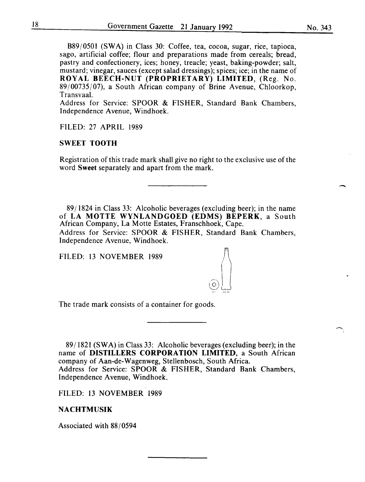B89/0501 (SWA) in Class 30: Coffee, tea, cocoa, sugar, rice, tapioca, sago, artificial coffee; flour and preparations made from cereals; bread, pastry and confectionery, ices; honey, treacle; yeast, baking-powder; salt, mustard; vinegar, sauces (except salad dressings); spices; ice; in the name of ROYAL BEECH-NUT (PROPRIETARY) LIMITED, (Reg. No.  $89/00735/07$ , a South African company of Brine Avenue, Chloorkop, Transvaal.

Address for Service: SPOOR & FISHER, Standard Bank Chambers, Independence Avenue, Windhoek.

FILED: 27 APRIL 1989

## SWEET TOOTH

Registration of this trade mark shall give no right to the exclusive use of the word Sweet separately and apart from the mark.

89/1824 in Class 33: Alcoholic beverages (excluding beer); in the name of LA MOTTE WYNLANDGOED (EDMS) BEPERK, a South African Company, La Motte Estates, Franschhoek, Cape. Address for Service: SPOOR & FISHER, Standard Bank Chambers, Independence Avenue, Windhoek.

 $\odot$ 

FILED: 13 NOVEMBER 1989

The trade mark consists of a container for goods.

89/1821 (SWA) in Class 33: Alcoholic beverages (excluding beer); in the name of DISTILLERS CORPORATION LIMITED, a South African company of Aan-de-Wagenweg, Stellenbosch, South Africa. Address for Service: SPOOR & FISHER, Standard Bank Chambers, Independence A venue, Windhoek.

FILED: 13 NOVEMBER 1989

## NACHTMUSIK

Associated with 88/0594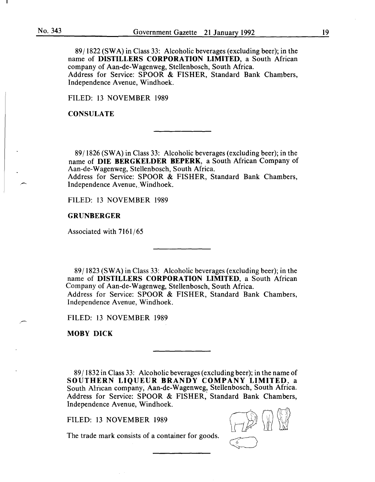89/1822 (SWA) in Class 33: Alcoholic beverages (excluding beer); in the name of DISTILLERS CORPORATION LIMITED, a South African company of Aan-de-Wagenweg, Stellenbosch, South Africa. Address for Service: SPOOR & FISHER, Standard Bank Chambers, Independence Avenue, Windhoek.

FILED: 13 NOVEMBER 1989

**CONSULATE** 

89/1826 (SWA) in Class 33: Alcoholic beverages (excluding beer); in the name of DIE BERGKELDER BEPERK, a South African Company of Aan-de-Wagenweg, Stellenbosch, South Africa.

Address for Service: SPOOR & FISHER, Standard Bank Chambers, Independence Avenue, Windhoek.

FILED: 13 NOVEMBER 1989

#### GRUNBERGER

Associated with 7161/65

89/1823 (SWA) in Class 33: Alcoholic beverages (excluding beer); in the name of DISTILLERS CORPORATION LIMITED, a South African Company of Aan-de-Wagenweg, Stellenbosch, South Africa. Address for Service: SPOOR & FISHER, Standard Bank Chambers, Independence Avenue, Windhoek.

FILED: 13 NOVEMBER 1989

MOBY DICK

89/1832 in Class 33: Alcoholic beverages (excluding beer); in the name of SOUTHERN LIQUEUR BRANDY COMPANY LIMITED. a South African company, Aan-de-Wagenweg, Stellenbosch, South Africa. Address for Service: SPOOR & FISHER, Standard Bank Chambers, Independence Avenue, Windhoek.

FILED: 13 NOVEMBER 1989



The trade mark consists of a container for goods.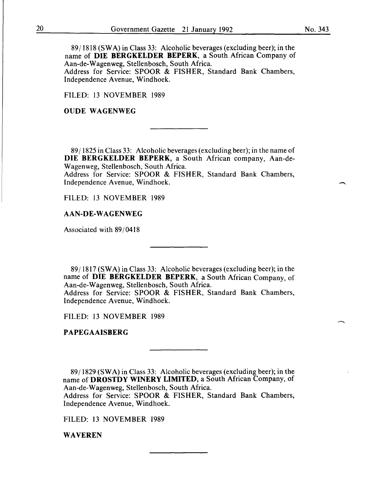8911818 (SWA) in Class 33: Alcoholic beverages (excluding beer); in the name of DIE BERGKELDER BEPERK, a South African Company of Aan-de-Wagenweg, Stellenbosch, South Africa. Address for Service: SPOOR & FISHER, Standard Bank Chambers,

Independence Avenue, Windhoek.

FILED: 13 NOVEMBER 1989

### OUDE WAGENWEG

89 I 1825 in Class 33: Alcoholic beverages (excluding beer); in the name of DIE BERGKELDER BEPERK, a South African company, Aan-de-Wagenweg, Stellenbosch, South Africa.

Address for Service: SPOOR & FISHER, Standard Bank Chambers, Independence Avenue, Windhoek.

FILED: 13 NOVEMBER 1989

#### AAN-DE-WAGENWEG

Associated with 89/0418

89/1817 (SWA) in Class 33: Alcoholic beverages (excluding beer); in the name of DIE BERGKELDER BEPERK, a South African Company, of Aan-de-Wagenweg, Stellenbosch, South Africa.

Address for Service: SPOOR & FISHER, Standard Bank Chambers, Independence Avenue, Windhoek.

FILED: 13 NOVEMBER 1989

## PAPEGAAISBERG

8911829 (SWA) in Class 33: Alcoholic beverages (excluding beer); in the name of DROSTDY WINERY LIMITED, a South African Company, of Aan-de-Wagenweg, Stellenbosch, South Africa.

Address for Service: SPOOR & FISHER, Standard Bank Chambers, Independence Avenue, Windhoek.

FILED: 13 NOVEMBER 1989

WAVEREN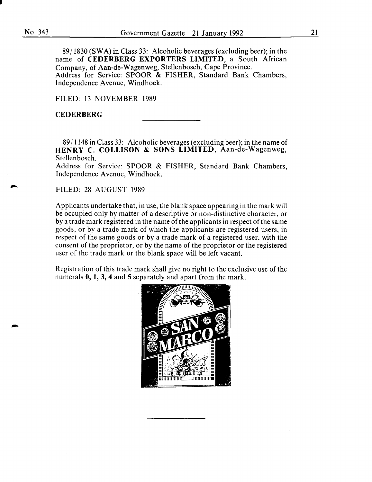•

89 I 1830 (SW A) in Class 33: Alcoholic beverages (excluding beer); in the name of CEDERBERG EXPORTERS LIMITED, a South African Company, of Aan-de-Wagenweg, Stellenbosch, Cape Province. Address for Service: SPOOR & FISHER, Standard Bank Chambers, Independence Avenue, Windhoek.

FILED: 13 NOVEMBER 1989

#### **CEDERBERG**

89 I 1148 in Class 33: Alcoholic beverages (excluding beer); in the name of HENRY C. COLLISON & SONS LIMITED, Aan-de-Wagenweg, Stellenbosch.

Address for Service: SPOOR & FISHER, Standard Bank Chambers, Independence Avenue, Windhoek.

FILED: 28 AUGUST 1989

Applicants undertake that, in use, the blank space appearing in the mark will be occupied only by matter of a descriptive or non-distinctive character, or by a trade mark registered in the name of the applicants in respect of the same goods, or by a trade mark of which the applicants are registered users, in respect of the same goods or by a trade mark of a registered user, with the consent of the proprietor, or by the name of the proprietor or the registered user of the trade mark or the blank space will be left vacant.

Registration of this trade mark shall give no right to the exclusive use of the numerals 0, 1, 3, 4 and 5 separately and apart from the mark.

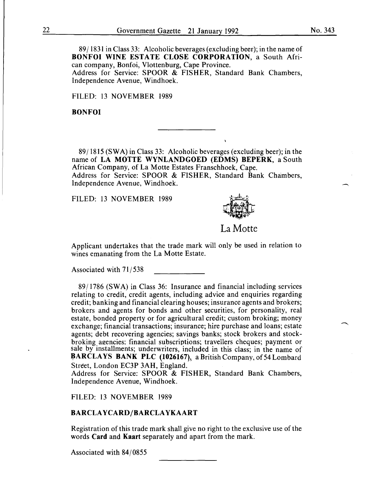89/1831 in Class 33: Alcoholic beverages (excluding beer); in the name of **BONFOI WINE ESTATE CLOSE CORPORATION,** a South African company, Bonfoi, Vlottenburg, Cape Province. Address for Service: SPOOR & FISHER, Standard Bank Chambers, Independence Avenue, Windhoek.

FILED: 13 NOVEMBER 1989

#### **BONFOI**

89/1815 (SW A) in Class 33: Alcoholic beverages (excluding beer); in the name of **LA MOTTE WYNLANDGOED (EDMS) BEPERK,** a South African Company, of La Motte Estates Franschhoek, Cape. Address for Service: SPOOR & FISHER, Standard Bank Chambers, Independence Avenue, Windhoek.

FILED: 13 NOVEMBER 1989



## La Motte

Applicant undertakes that the trade mark will only be used in relation to wines emanating from the La Motte Estate.

Associated with 71/538

89/1786 (SW A) in Class 36: Insurance and financial including services relating to credit, credit agents, including advice and enquiries regarding credit; banking and financial clearing houses; insurance agents and brokers; brokers and agents for bonds and other securities, for personality, real estate, bonded property or for agricultural credit; custom broking; money exchange; financial transactions; insurance; hire purchase and loans; estate agents; debt recovering agencies; savings banks; stock brokers and stockbroking aeencies: financial subscriptions; travellers cheques; payment or sale by installments; underwriters, included in this class; in the name of BARCLAYS BANK PLC (1026167), a British Company, of 54 Lombard Street, London EC3P 3AH, England.

Address for Service: SPOOR & FISHER, Standard Bank Chambers, Independence Avenue, Windhoek.

FILED: 13 NOVEMBER 1989

#### **BARCLAYCARD/BARCLAYKAART**

Registration of this trade mark shall give no right to the exclusive use of the words **Card** and **Kaart** separately and apart from the mark.

Associated with 84/0855